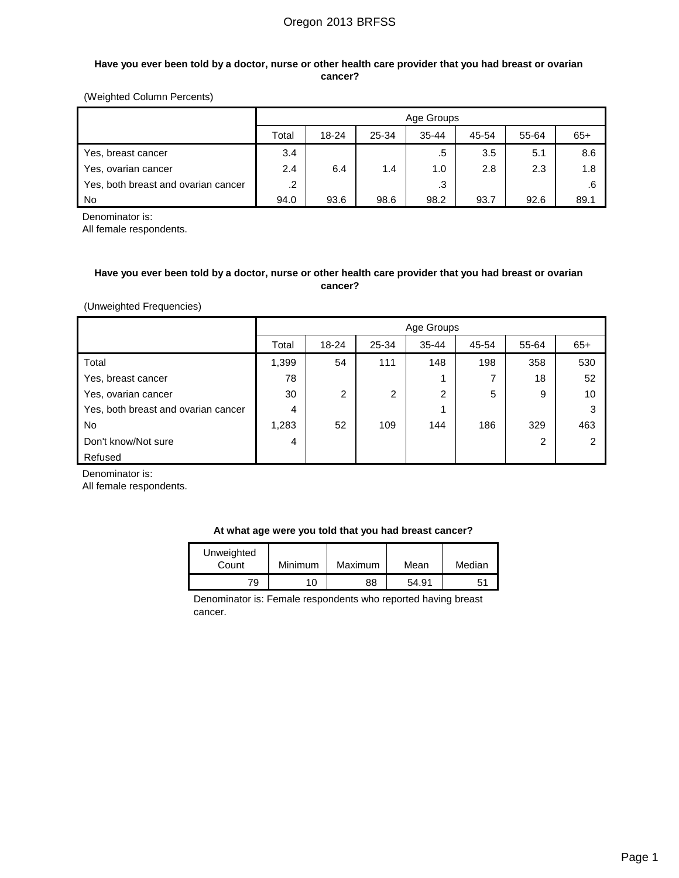### **Have you ever been told by a doctor, nurse or other health care provider that you had breast or ovarian cancer?**

### (Weighted Column Percents)

|                                     |         | Age Groups |       |           |       |       |       |  |  |  |
|-------------------------------------|---------|------------|-------|-----------|-------|-------|-------|--|--|--|
|                                     | Total   | 18-24      | 25-34 | $35 - 44$ | 45-54 | 55-64 | $65+$ |  |  |  |
| Yes, breast cancer                  | 3.4     |            |       | .5        | 3.5   | 5.1   | 8.6   |  |  |  |
| Yes, ovarian cancer                 | 2.4     | 6.4        | 1.4   | 1.0       | 2.8   | 2.3   | 1.8   |  |  |  |
| Yes, both breast and ovarian cancer | $\cdot$ |            |       | .3        |       |       |       |  |  |  |
| l No                                | 94.0    | 93.6       | 98.6  | 98.2      | 93.7  | 92.6  | 89.1  |  |  |  |

Denominator is:

All female respondents.

## **Have you ever been told by a doctor, nurse or other health care provider that you had breast or ovarian cancer?**

(Unweighted Frequencies)

|                                     |       | Age Groups |       |           |       |                |       |  |  |
|-------------------------------------|-------|------------|-------|-----------|-------|----------------|-------|--|--|
|                                     | Total | 18-24      | 25-34 | $35 - 44$ | 45-54 | 55-64          | $65+$ |  |  |
| Total                               | 1,399 | 54         | 111   | 148       | 198   | 358            | 530   |  |  |
| Yes, breast cancer                  | 78    |            |       |           |       | 18             | 52    |  |  |
| Yes, ovarian cancer                 | 30    | 2          | 2     | 2         | 5     | 9              | 10    |  |  |
| Yes, both breast and ovarian cancer | 4     |            |       | 1         |       |                | 3     |  |  |
| <b>No</b>                           | 1,283 | 52         | 109   | 144       | 186   | 329            | 463   |  |  |
| Don't know/Not sure                 | 4     |            |       |           |       | $\overline{2}$ | っ     |  |  |
| Refused                             |       |            |       |           |       |                |       |  |  |

Denominator is:

All female respondents.

| At what age were you told that you had breast cancer? |  |  |  |  |  |  |
|-------------------------------------------------------|--|--|--|--|--|--|
|-------------------------------------------------------|--|--|--|--|--|--|

| Unweighted<br>Count | Minimum | Maximum | Mean  | Median |
|---------------------|---------|---------|-------|--------|
| 79                  | 10      | 88      | 54.91 | 51     |

Denominator is: Female respondents who reported having breast cancer.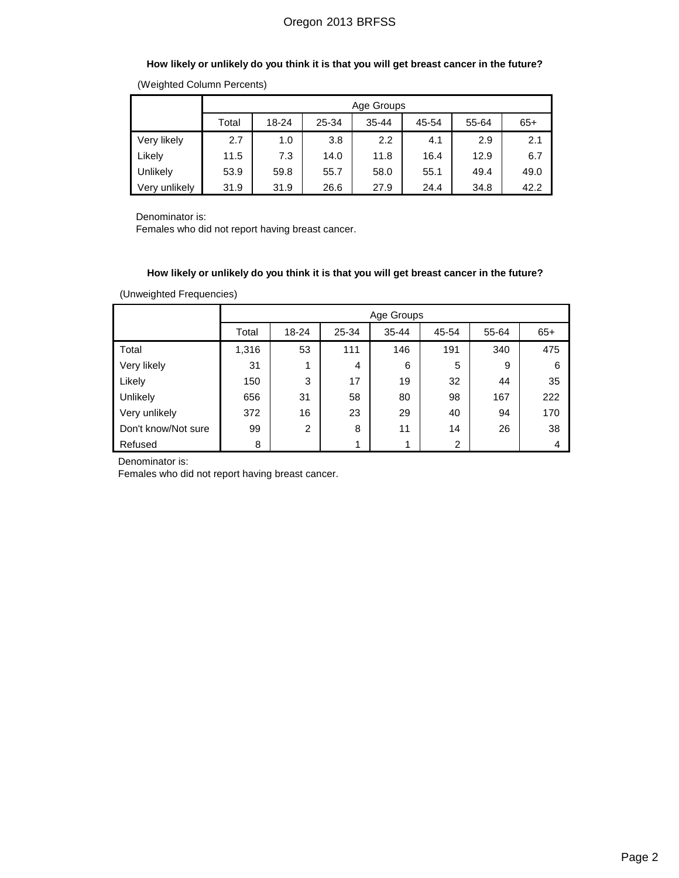## **How likely or unlikely do you think it is that you will get breast cancer in the future?**

|               | Age Groups |       |       |       |       |       |       |  |  |
|---------------|------------|-------|-------|-------|-------|-------|-------|--|--|
|               | Total      | 18-24 | 25-34 | 35-44 | 45-54 | 55-64 | $65+$ |  |  |
| Very likely   | 2.7        | 1.0   | 3.8   | 2.2   | 4.1   | 2.9   | 2.1   |  |  |
| Likely        | 11.5       | 7.3   | 14.0  | 11.8  | 16.4  | 12.9  | 6.7   |  |  |
| Unlikely      | 53.9       | 59.8  | 55.7  | 58.0  | 55.1  | 49.4  | 49.0  |  |  |
| Very unlikely | 31.9       | 31.9  | 26.6  | 27.9  | 24.4  | 34.8  | 42.2  |  |  |

(Weighted Column Percents)

Denominator is:

Females who did not report having breast cancer.

## **How likely or unlikely do you think it is that you will get breast cancer in the future?**

(Unweighted Frequencies)

|                     |       | Age Groups |                |           |                |       |       |  |  |
|---------------------|-------|------------|----------------|-----------|----------------|-------|-------|--|--|
|                     | Total | 18-24      | 25-34          | $35 - 44$ | 45-54          | 55-64 | $65+$ |  |  |
| Total               | 1,316 | 53         | 111            | 146       | 191            | 340   | 475   |  |  |
| Very likely         | 31    | 1          | $\overline{4}$ | 6         | 5              | 9     | 6     |  |  |
| Likely              | 150   | 3          | 17             | 19        | 32             | 44    | 35    |  |  |
| Unlikely            | 656   | 31         | 58             | 80        | 98             | 167   | 222   |  |  |
| Very unlikely       | 372   | 16         | 23             | 29        | 40             | 94    | 170   |  |  |
| Don't know/Not sure | 99    | 2          | 8              | 11        | 14             | 26    | 38    |  |  |
| Refused             | 8     |            | 1              | 1         | $\overline{2}$ |       | 4     |  |  |

Denominator is:

Females who did not report having breast cancer.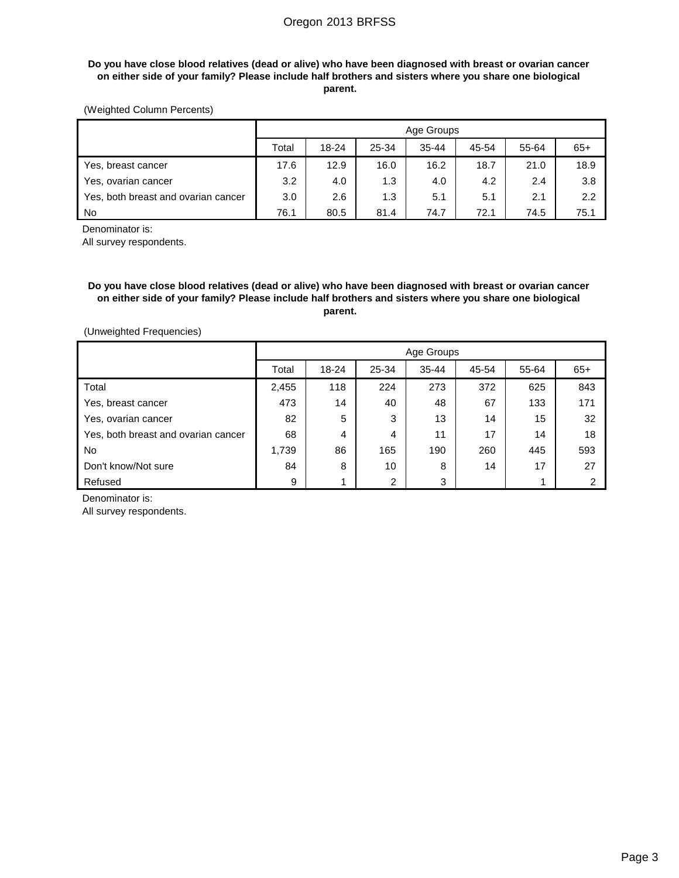### **Do you have close blood relatives (dead or alive) who have been diagnosed with breast or ovarian cancer on either side of your family? Please include half brothers and sisters where you share one biological parent.**

## (Weighted Column Percents)

|                                     |       | Age Groups |       |           |       |       |       |  |  |  |
|-------------------------------------|-------|------------|-------|-----------|-------|-------|-------|--|--|--|
|                                     | Total | 18-24      | 25-34 | $35 - 44$ | 45-54 | 55-64 | $65+$ |  |  |  |
| Yes, breast cancer                  | 17.6  | 12.9       | 16.0  | 16.2      | 18.7  | 21.0  | 18.9  |  |  |  |
| Yes, ovarian cancer                 | 3.2   | 4.0        | 1.3   | 4.0       | 4.2   | 2.4   | 3.8   |  |  |  |
| Yes, both breast and ovarian cancer | 3.0   | 2.6        | 1.3   | 5.1       | 5.1   | 2.1   | 2.2   |  |  |  |
| No.                                 | 76.1  | 80.5       | 81.4  | 74.7      | 72.1  | 74.5  | 75.1  |  |  |  |

Denominator is:

All survey respondents.

## **Do you have close blood relatives (dead or alive) who have been diagnosed with breast or ovarian cancer on either side of your family? Please include half brothers and sisters where you share one biological parent.**

(Unweighted Frequencies)

|                                     |       | Age Groups |                |       |       |       |       |  |  |
|-------------------------------------|-------|------------|----------------|-------|-------|-------|-------|--|--|
|                                     | Total | 18-24      | 25-34          | 35-44 | 45-54 | 55-64 | $65+$ |  |  |
| Total                               | 2,455 | 118        | 224            | 273   | 372   | 625   | 843   |  |  |
| Yes, breast cancer                  | 473   | 14         | 40             | 48    | 67    | 133   | 171   |  |  |
| Yes, ovarian cancer                 | 82    | 5          | 3              | 13    | 14    | 15    | 32    |  |  |
| Yes, both breast and ovarian cancer | 68    | 4          | 4              | 11    | 17    | 14    | 18    |  |  |
| No.                                 | 1,739 | 86         | 165            | 190   | 260   | 445   | 593   |  |  |
| Don't know/Not sure                 | 84    | 8          | 10             | 8     | 14    | 17    | 27    |  |  |
| Refused                             | 9     |            | $\overline{2}$ | 3     |       | 1.    |       |  |  |

Denominator is:

All survey respondents.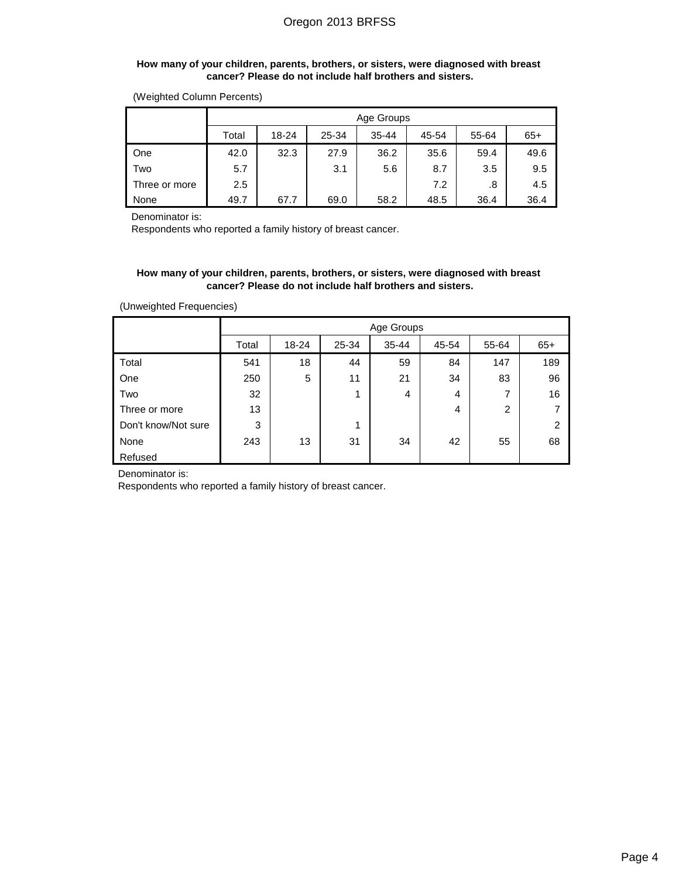#### **How many of your children, parents, brothers, or sisters, were diagnosed with breast cancer? Please do not include half brothers and sisters.**

| (Weighted Column Percents) |  |  |
|----------------------------|--|--|
|----------------------------|--|--|

|               |       | Age Groups |       |           |       |       |       |  |  |
|---------------|-------|------------|-------|-----------|-------|-------|-------|--|--|
|               | Total | 18-24      | 25-34 | $35 - 44$ | 45-54 | 55-64 | $65+$ |  |  |
| One           | 42.0  | 32.3       | 27.9  | 36.2      | 35.6  | 59.4  | 49.6  |  |  |
| Two           | 5.7   |            | 3.1   | 5.6       | 8.7   | 3.5   | 9.5   |  |  |
| Three or more | 2.5   |            |       |           | 7.2   | .8    | 4.5   |  |  |
| None          | 49.7  | 67.7       | 69.0  | 58.2      | 48.5  | 36.4  | 36.4  |  |  |

Denominator is:

Respondents who reported a family history of breast cancer.

#### **How many of your children, parents, brothers, or sisters, were diagnosed with breast cancer? Please do not include half brothers and sisters.**

(Unweighted Frequencies)

|                     |       | Age Groups |       |           |       |                |                |  |  |
|---------------------|-------|------------|-------|-----------|-------|----------------|----------------|--|--|
|                     | Total | 18-24      | 25-34 | $35 - 44$ | 45-54 | 55-64          | $65+$          |  |  |
| Total               | 541   | 18         | 44    | 59        | 84    | 147            | 189            |  |  |
| One                 | 250   | 5          | 11    | 21        | 34    | 83             | 96             |  |  |
| Two                 | 32    |            | 1     | 4         | 4     | 7              | 16             |  |  |
| Three or more       | 13    |            |       |           | 4     | $\overline{2}$ | 7              |  |  |
| Don't know/Not sure | 3     |            | 1     |           |       |                | $\overline{2}$ |  |  |
| None                | 243   | 13         | 31    | 34        | 42    | 55             | 68             |  |  |
| Refused             |       |            |       |           |       |                |                |  |  |

Denominator is:

Respondents who reported a family history of breast cancer.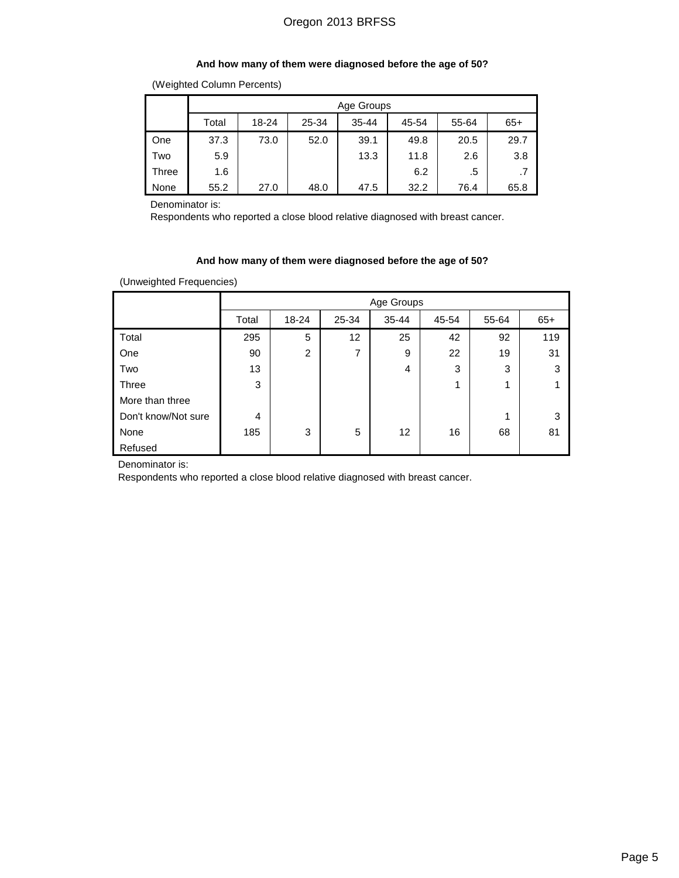#### **And how many of them were diagnosed before the age of 50?**

|       |                                                                 | Age Groups |      |      |      |      |      |  |  |  |  |
|-------|-----------------------------------------------------------------|------------|------|------|------|------|------|--|--|--|--|
|       | 18-24<br>25-34<br>55-64<br>Total<br>$35 - 44$<br>45-54<br>$65+$ |            |      |      |      |      |      |  |  |  |  |
| One   | 37.3                                                            | 73.0       | 52.0 | 39.1 | 49.8 | 20.5 | 29.7 |  |  |  |  |
| Two   | 5.9                                                             |            |      | 13.3 | 11.8 | 2.6  | 3.8  |  |  |  |  |
| Three | 1.6                                                             |            |      |      | 6.2  | .5   |      |  |  |  |  |
| None  | 55.2                                                            | 27.0       | 48.0 | 47.5 | 32.2 | 76.4 | 65.8 |  |  |  |  |

Denominator is:

Respondents who reported a close blood relative diagnosed with breast cancer.

## **And how many of them were diagnosed before the age of 50?**

(Unweighted Frequencies)

|                     |       | Age Groups     |       |           |       |       |       |  |  |
|---------------------|-------|----------------|-------|-----------|-------|-------|-------|--|--|
|                     | Total | 18-24          | 25-34 | $35 - 44$ | 45-54 | 55-64 | $65+$ |  |  |
| Total               | 295   | 5              | 12    | 25        | 42    | 92    | 119   |  |  |
| One                 | 90    | $\overline{2}$ | 7     | 9         | 22    | 19    | 31    |  |  |
| Two                 | 13    |                |       | 4         | 3     | 3     | 3     |  |  |
| Three               | 3     |                |       |           | 1     | 1     |       |  |  |
| More than three     |       |                |       |           |       |       |       |  |  |
| Don't know/Not sure | 4     |                |       |           |       | 1     | 3     |  |  |
| None                | 185   | 3              | 5     | 12        | 16    | 68    | 81    |  |  |
| Refused             |       |                |       |           |       |       |       |  |  |

Denominator is:

Respondents who reported a close blood relative diagnosed with breast cancer.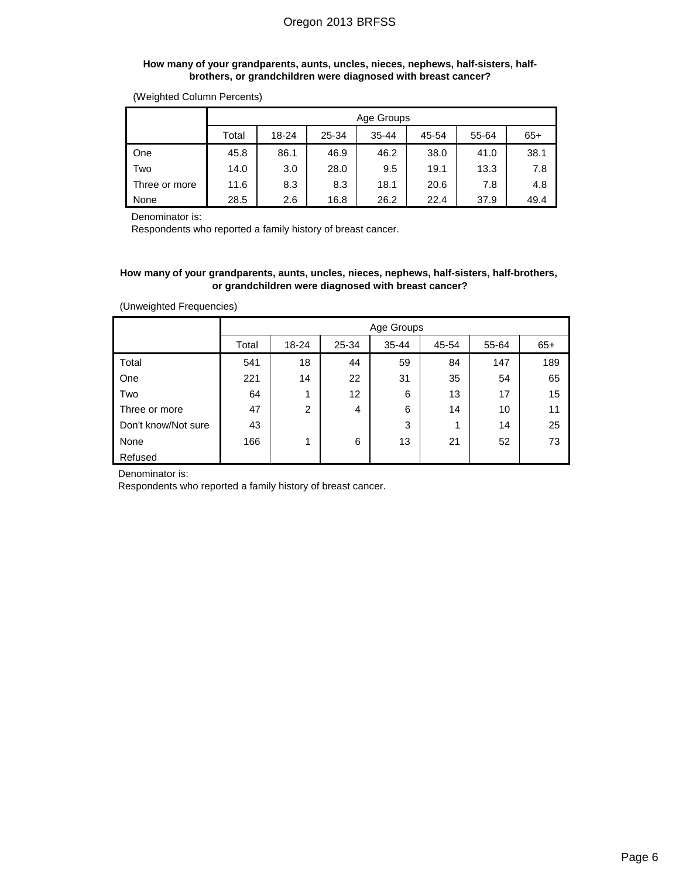#### **How many of your grandparents, aunts, uncles, nieces, nephews, half-sisters, halfbrothers, or grandchildren were diagnosed with breast cancer?**

|               |       | Age Groups                                             |      |      |      |      |      |  |  |  |  |
|---------------|-------|--------------------------------------------------------|------|------|------|------|------|--|--|--|--|
|               | Total | 25-34<br>55-64<br>18-24<br>$35 - 44$<br>45-54<br>$65+$ |      |      |      |      |      |  |  |  |  |
| One           | 45.8  | 86.1                                                   | 46.9 | 46.2 | 38.0 | 41.0 | 38.1 |  |  |  |  |
| Two           | 14.0  | 3.0                                                    | 28.0 | 9.5  | 19.1 | 13.3 | 7.8  |  |  |  |  |
| Three or more | 11.6  | 8.3                                                    | 8.3  | 18.1 | 20.6 | 7.8  | 4.8  |  |  |  |  |
| None          | 28.5  | 2.6                                                    | 16.8 | 26.2 | 22.4 | 37.9 | 49.4 |  |  |  |  |

Denominator is:

Respondents who reported a family history of breast cancer.

### **How many of your grandparents, aunts, uncles, nieces, nephews, half-sisters, half-brothers, or grandchildren were diagnosed with breast cancer?**

| (Unweighted Frequencies) |
|--------------------------|
|--------------------------|

|                     |       | Age Groups                                             |                   |    |    |     |     |  |  |  |
|---------------------|-------|--------------------------------------------------------|-------------------|----|----|-----|-----|--|--|--|
|                     | Total | $65+$<br>$35 - 44$<br>45-54<br>55-64<br>18-24<br>25-34 |                   |    |    |     |     |  |  |  |
| Total               | 541   | 18                                                     | 44                | 59 | 84 | 147 | 189 |  |  |  |
| One                 | 221   | 14                                                     | 22                | 31 | 35 | 54  | 65  |  |  |  |
| Two                 | 64    | 1                                                      | $12 \overline{ }$ | 6  | 13 | 17  | 15  |  |  |  |
| Three or more       | 47    | $\overline{2}$                                         | $\overline{4}$    | 6  | 14 | 10  | 11  |  |  |  |
| Don't know/Not sure | 43    |                                                        |                   | 3  | 1  | 14  | 25  |  |  |  |
| None                | 166   | 1                                                      | 6                 | 13 | 21 | 52  | 73  |  |  |  |
| Refused             |       |                                                        |                   |    |    |     |     |  |  |  |

Denominator is:

Respondents who reported a family history of breast cancer.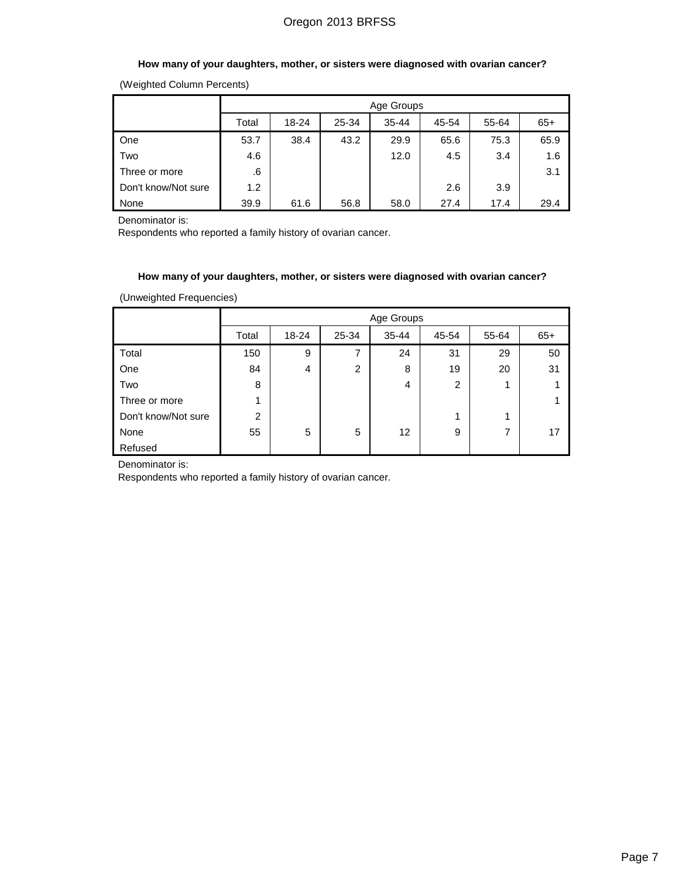## **How many of your daughters, mother, or sisters were diagnosed with ovarian cancer?**

(Weighted Column Percents)

|                     |       | Age Groups                                             |      |      |      |      |      |  |  |  |
|---------------------|-------|--------------------------------------------------------|------|------|------|------|------|--|--|--|
|                     | Total | 55-64<br>$65+$<br>18-24<br>25-34<br>$35 - 44$<br>45-54 |      |      |      |      |      |  |  |  |
| One                 | 53.7  | 38.4                                                   | 43.2 | 29.9 | 65.6 | 75.3 | 65.9 |  |  |  |
| Two                 | 4.6   |                                                        |      | 12.0 | 4.5  | 3.4  | 1.6  |  |  |  |
| Three or more       | .6    |                                                        |      |      |      |      | 3.1  |  |  |  |
| Don't know/Not sure | 1.2   |                                                        |      |      | 2.6  | 3.9  |      |  |  |  |
| None                | 39.9  | 61.6                                                   | 56.8 | 58.0 | 27.4 | 17.4 | 29.4 |  |  |  |

Denominator is:

Respondents who reported a family history of ovarian cancer.

### **How many of your daughters, mother, or sisters were diagnosed with ovarian cancer?**

(Unweighted Frequencies)

|                     |       | Age Groups |       |           |                |       |       |  |  |
|---------------------|-------|------------|-------|-----------|----------------|-------|-------|--|--|
|                     | Total | 18-24      | 25-34 | $35 - 44$ | 45-54          | 55-64 | $65+$ |  |  |
| Total               | 150   | 9          | 7     | 24        | 31             | 29    | 50    |  |  |
| One                 | 84    | 4          | 2     | 8         | 19             | 20    | 31    |  |  |
| Two                 | 8     |            |       | 4         | $\overline{2}$ | 1     |       |  |  |
| Three or more       |       |            |       |           |                |       |       |  |  |
| Don't know/Not sure | 2     |            |       |           | 1              | ◢     |       |  |  |
| None                | 55    | 5          | 5     | 12        | 9              | 7     | 17    |  |  |
| Refused             |       |            |       |           |                |       |       |  |  |

Denominator is:

Respondents who reported a family history of ovarian cancer.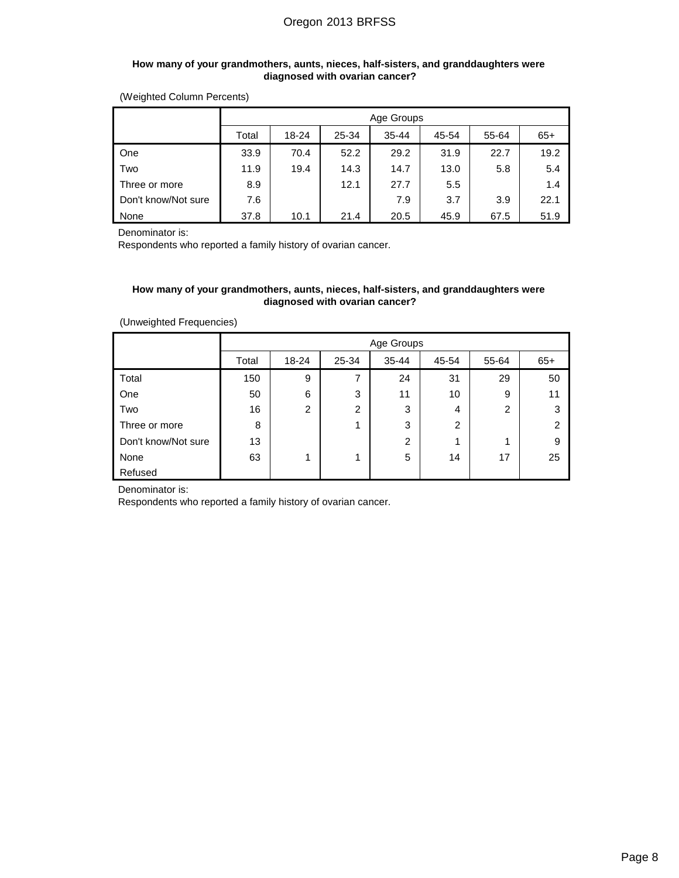#### **How many of your grandmothers, aunts, nieces, half-sisters, and granddaughters were diagnosed with ovarian cancer?**

(Weighted Column Percents)

|                     |                                                                 | Age Groups |      |      |      |      |      |  |  |
|---------------------|-----------------------------------------------------------------|------------|------|------|------|------|------|--|--|
|                     | 55-64<br>18-24<br>$35 - 44$<br>45-54<br>$65+$<br>25-34<br>Total |            |      |      |      |      |      |  |  |
| One                 | 33.9                                                            | 70.4       | 52.2 | 29.2 | 31.9 | 22.7 | 19.2 |  |  |
| Two                 | 11.9                                                            | 19.4       | 14.3 | 14.7 | 13.0 | 5.8  | 5.4  |  |  |
| Three or more       | 8.9                                                             |            | 12.1 | 27.7 | 5.5  |      | 1.4  |  |  |
| Don't know/Not sure | 7.6                                                             |            |      | 7.9  | 3.7  | 3.9  | 22.1 |  |  |
| None                | 37.8                                                            | 10.1       | 21.4 | 20.5 | 45.9 | 67.5 | 51.9 |  |  |

Denominator is:

Respondents who reported a family history of ovarian cancer.

## **How many of your grandmothers, aunts, nieces, half-sisters, and granddaughters were diagnosed with ovarian cancer?**

| (Unweighted Frequencies) |  |
|--------------------------|--|
|                          |  |

|                     |       | Age Groups                                             |   |                |    |                |    |  |  |
|---------------------|-------|--------------------------------------------------------|---|----------------|----|----------------|----|--|--|
|                     | Total | $35 - 44$<br>$65+$<br>18-24<br>25-34<br>45-54<br>55-64 |   |                |    |                |    |  |  |
| Total               | 150   | 9                                                      | 7 | 24             | 31 | 29             | 50 |  |  |
| One                 | 50    | 6                                                      | 3 | 11             | 10 | 9              | 11 |  |  |
| Two                 | 16    | $\overline{2}$                                         | 2 | 3              | 4  | $\overline{2}$ | 3  |  |  |
| Three or more       | 8     |                                                        | 1 | 3              | 2  |                | 2  |  |  |
| Don't know/Not sure | 13    |                                                        |   | $\overline{2}$ | 1  | 1              | 9  |  |  |
| None                | 63    | 1                                                      | 1 | 5              | 14 | 17             | 25 |  |  |
| Refused             |       |                                                        |   |                |    |                |    |  |  |

Denominator is:

Respondents who reported a family history of ovarian cancer.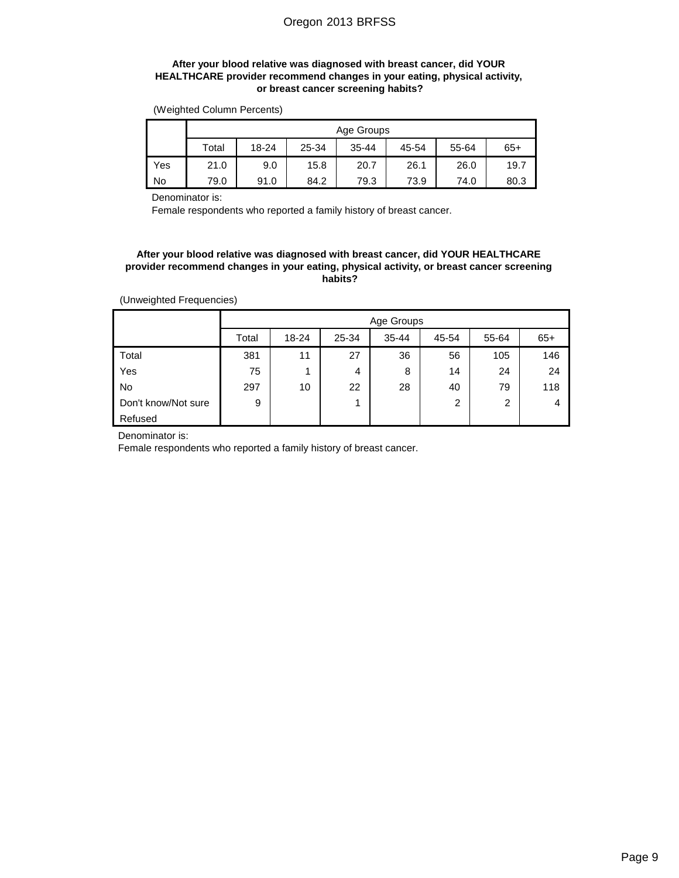## **After your blood relative was diagnosed with breast cancer, did YOUR HEALTHCARE provider recommend changes in your eating, physical activity, or breast cancer screening habits?**

(Weighted Column Percents)

|     | Age Groups                                                          |      |      |      |      |      |      |  |  |  |
|-----|---------------------------------------------------------------------|------|------|------|------|------|------|--|--|--|
|     | Total<br>55-64<br>$18 - 24$<br>25-34<br>$35 - 44$<br>$65+$<br>45-54 |      |      |      |      |      |      |  |  |  |
| Yes | 21.0                                                                | 9.0  | 15.8 | 20.7 | 26.1 | 26.0 | 19.7 |  |  |  |
| No  | 79.0                                                                | 91.0 | 84.2 | 79.3 | 73.9 | 74.0 | 80.3 |  |  |  |

Denominator is:

Female respondents who reported a family history of breast cancer.

#### **After your blood relative was diagnosed with breast cancer, did YOUR HEALTHCARE provider recommend changes in your eating, physical activity, or breast cancer screening habits?**

(Unweighted Frequencies)

|                     |       | Age Groups |       |           |       |                |       |  |  |  |
|---------------------|-------|------------|-------|-----------|-------|----------------|-------|--|--|--|
|                     | Total | $18 - 24$  | 25-34 | $35 - 44$ | 45-54 | 55-64          | $65+$ |  |  |  |
| Total               | 381   | 11         | 27    | 36        | 56    | 105            | 146   |  |  |  |
| Yes                 | 75    | 1          | 4     | 8         | 14    | 24             | 24    |  |  |  |
| <b>No</b>           | 297   | 10         | 22    | 28        | 40    | 79             | 118   |  |  |  |
| Don't know/Not sure | 9     |            | 4     |           | 2     | $\overline{2}$ | 4     |  |  |  |
| Refused             |       |            |       |           |       |                |       |  |  |  |

Denominator is:

Female respondents who reported a family history of breast cancer.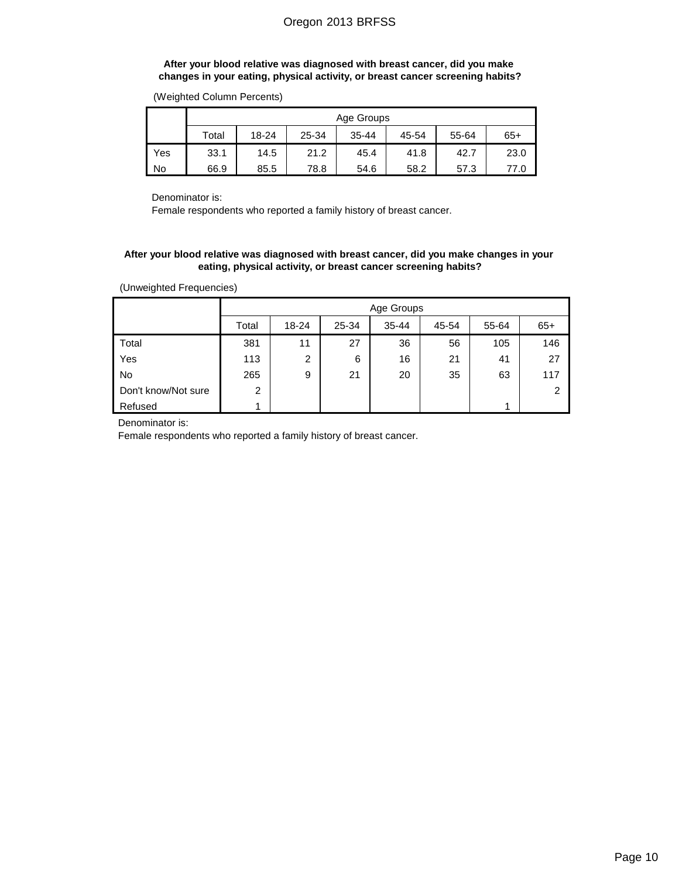### **After your blood relative was diagnosed with breast cancer, did you make changes in your eating, physical activity, or breast cancer screening habits?**

|     | Age Groups |       |       |           |       |       |       |  |  |
|-----|------------|-------|-------|-----------|-------|-------|-------|--|--|
|     | Total      | 18-24 | 25-34 | $35 - 44$ | 45-54 | 55-64 | $65+$ |  |  |
| Yes | 33.1       | 14.5  | 21.2  | 45.4      | 41.8  | 42.7  | 23.0  |  |  |
| No  | 66.9       | 85.5  | 78.8  | 54.6      | 58.2  | 57.3  | 77.0  |  |  |

(Weighted Column Percents)

Denominator is:

Female respondents who reported a family history of breast cancer.

### **After your blood relative was diagnosed with breast cancer, did you make changes in your eating, physical activity, or breast cancer screening habits?**

(Unweighted Frequencies)

|                     |                | Age Groups     |       |           |       |       |               |  |  |  |
|---------------------|----------------|----------------|-------|-----------|-------|-------|---------------|--|--|--|
|                     | Total          | 18-24          | 25-34 | $35 - 44$ | 45-54 | 55-64 | $65+$         |  |  |  |
| Total               | 381            | 11             | 27    | 36        | 56    | 105   | 146           |  |  |  |
| Yes                 | 113            | $\overline{2}$ | 6     | 16        | 21    | 41    | 27            |  |  |  |
| <b>No</b>           | 265            | 9              | 21    | 20        | 35    | 63    | 117           |  |  |  |
| Don't know/Not sure | $\overline{2}$ |                |       |           |       |       | $\mathcal{P}$ |  |  |  |
| Refused             |                |                |       |           |       |       |               |  |  |  |

Denominator is:

Female respondents who reported a family history of breast cancer.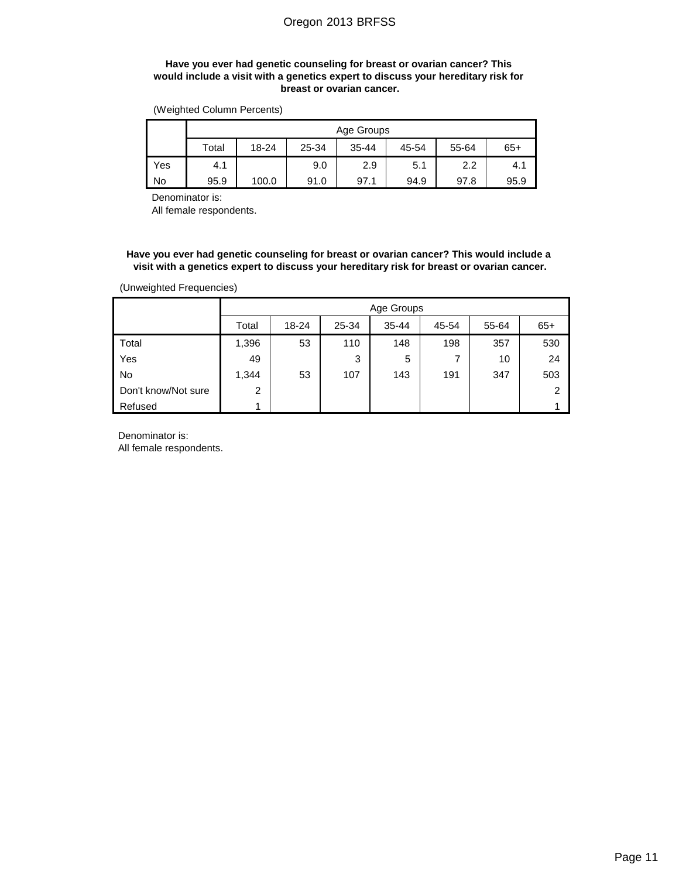### **Have you ever had genetic counseling for breast or ovarian cancer? This would include a visit with a genetics expert to discuss your hereditary risk for breast or ovarian cancer.**

(Weighted Column Percents)

|           | Age Groups |       |       |           |       |       |       |  |  |  |
|-----------|------------|-------|-------|-----------|-------|-------|-------|--|--|--|
|           | Total      | 18-24 | 25-34 | $35 - 44$ | 45-54 | 55-64 | $65+$ |  |  |  |
| Yes       | 4.1        |       | 9.0   | 2.9       | 5.1   | 2.2   | 4.1   |  |  |  |
| <b>No</b> | 95.9       | 100.0 | 91.0  | 97.1      | 94.9  | 97.8  | 95.9  |  |  |  |

Denominator is:

All female respondents.

**Have you ever had genetic counseling for breast or ovarian cancer? This would include a visit with a genetics expert to discuss your hereditary risk for breast or ovarian cancer.**

(Unweighted Frequencies)

|                     | Age Groups     |           |       |           |       |       |                |  |  |
|---------------------|----------------|-----------|-------|-----------|-------|-------|----------------|--|--|
|                     | Total          | $18 - 24$ | 25-34 | $35 - 44$ | 45-54 | 55-64 | $65+$          |  |  |
| Total               | 1,396          | 53        | 110   | 148       | 198   | 357   | 530            |  |  |
| Yes                 | 49             |           | 3     | 5         | 7     | 10    | 24             |  |  |
| No                  | 1,344          | 53        | 107   | 143       | 191   | 347   | 503            |  |  |
| Don't know/Not sure | $\overline{2}$ |           |       |           |       |       | $\overline{2}$ |  |  |
| Refused             |                |           |       |           |       |       |                |  |  |

Denominator is:

All female respondents.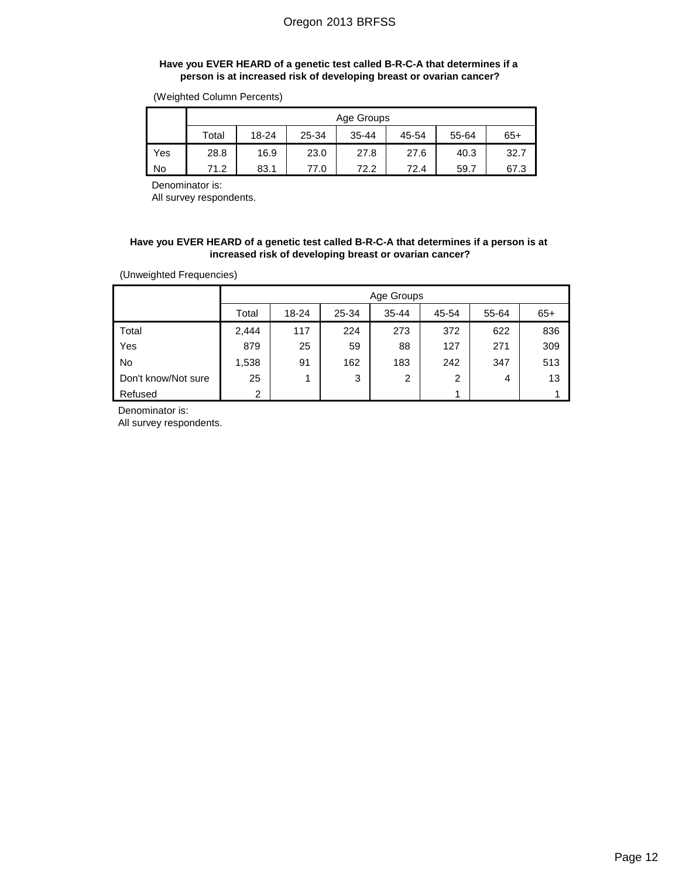## **Have you EVER HEARD of a genetic test called B-R-C-A that determines if a person is at increased risk of developing breast or ovarian cancer?**

(Weighted Column Percents)

|     | Age Groups |           |       |           |       |       |       |  |  |  |  |
|-----|------------|-----------|-------|-----------|-------|-------|-------|--|--|--|--|
|     | Total      | $18 - 24$ | 25-34 | $35 - 44$ | 45-54 | 55-64 | $65+$ |  |  |  |  |
| Yes | 28.8       | 16.9      | 23.0  | 27.8      | 27.6  | 40.3  | 32.7  |  |  |  |  |
| No  | 71.2       | 83.1      | 77.0  | 72.2      | 72.4  | 59.7  | 67.3  |  |  |  |  |

Denominator is:

All survey respondents.

### **Have you EVER HEARD of a genetic test called B-R-C-A that determines if a person is at increased risk of developing breast or ovarian cancer?**

(Unweighted Frequencies)

|                     |                | Age Groups |       |           |                |       |       |  |  |  |  |
|---------------------|----------------|------------|-------|-----------|----------------|-------|-------|--|--|--|--|
|                     | Total          | 18-24      | 25-34 | $35 - 44$ | 45-54          | 55-64 | $65+$ |  |  |  |  |
| Total               | 2,444          | 117        | 224   | 273       | 372            | 622   | 836   |  |  |  |  |
| Yes                 | 879            | 25         | 59    | 88        | 127            | 271   | 309   |  |  |  |  |
| <b>No</b>           | 1,538          | 91         | 162   | 183       | 242            | 347   | 513   |  |  |  |  |
| Don't know/Not sure | 25             |            | 3     | 2         | $\overline{2}$ | 4     | 13    |  |  |  |  |
| Refused             | $\overline{2}$ |            |       |           | -1             |       |       |  |  |  |  |

Denominator is:

All survey respondents.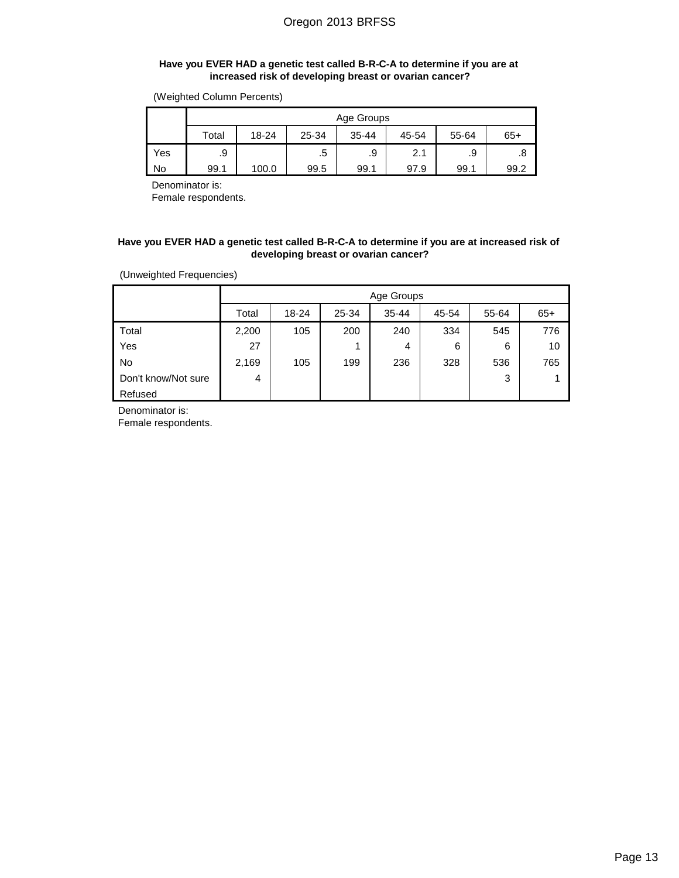### **Have you EVER HAD a genetic test called B-R-C-A to determine if you are at increased risk of developing breast or ovarian cancer?**

(Weighted Column Percents)

|     | Age Groups |                                               |      |      |      |      |      |  |  |  |
|-----|------------|-----------------------------------------------|------|------|------|------|------|--|--|--|
|     | Total      | 18-24<br>25-34<br>$35 - 44$<br>55-64<br>45-54 |      |      |      |      |      |  |  |  |
| Yes | .9         |                                               | .5   | .9   | 2.1  | .9   |      |  |  |  |
| No  | 99.1       | 100.0                                         | 99.5 | 99.1 | 97.9 | 99.1 | 99.2 |  |  |  |

Denominator is:

Female respondents.

### **Have you EVER HAD a genetic test called B-R-C-A to determine if you are at increased risk of developing breast or ovarian cancer?**

(Unweighted Frequencies)

|                     | Age Groups |           |       |           |       |       |       |  |  |
|---------------------|------------|-----------|-------|-----------|-------|-------|-------|--|--|
|                     | Total      | $18 - 24$ | 25-34 | $35 - 44$ | 45-54 | 55-64 | $65+$ |  |  |
| Total               | 2,200      | 105       | 200   | 240       | 334   | 545   | 776   |  |  |
| Yes                 | 27         |           |       | 4         | 6     | 6     | 10    |  |  |
| No                  | 2,169      | 105       | 199   | 236       | 328   | 536   | 765   |  |  |
| Don't know/Not sure | 4          |           |       |           |       | 3     | 4     |  |  |
| Refused             |            |           |       |           |       |       |       |  |  |

Denominator is:

Female respondents.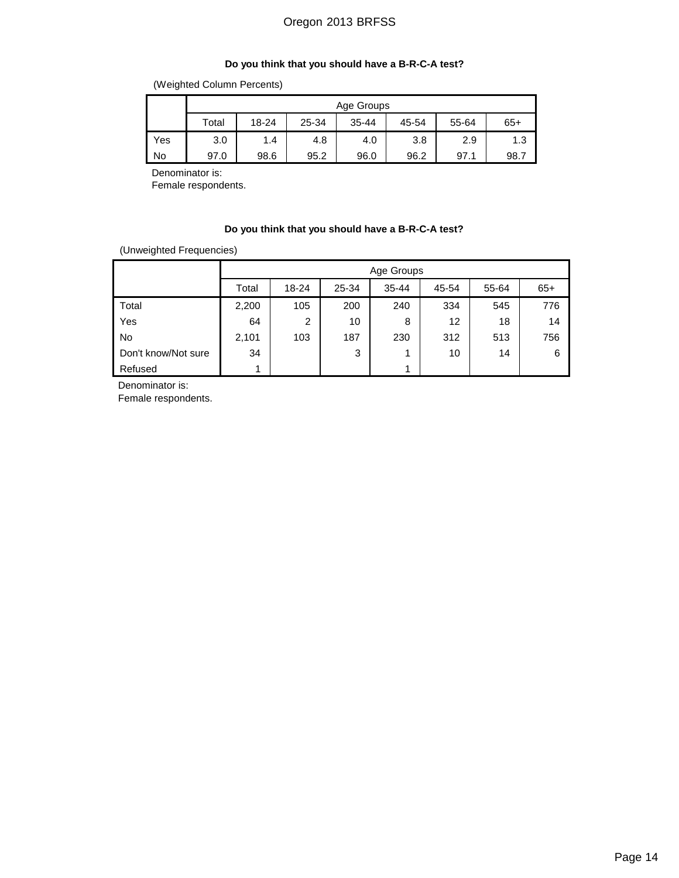## **Do you think that you should have a B-R-C-A test?**

(Weighted Column Percents)

|     | Age Groups |       |       |           |       |       |       |  |  |  |
|-----|------------|-------|-------|-----------|-------|-------|-------|--|--|--|
|     | Total      | 18-24 | 25-34 | $35 - 44$ | 45-54 | 55-64 | $65+$ |  |  |  |
| Yes | 3.0        | 1.4   | 4.8   | 4.0       | 3.8   | 2.9   | 1.3   |  |  |  |
| No  | 97.0       | 98.6  | 95.2  | 96.0      | 96.2  | 97.1  | 98.7  |  |  |  |

Denominator is:

Female respondents.

### **Do you think that you should have a B-R-C-A test?**

(Unweighted Frequencies)

|                     |       | Age Groups |       |           |       |       |       |  |  |  |
|---------------------|-------|------------|-------|-----------|-------|-------|-------|--|--|--|
|                     | Total | $18 - 24$  | 25-34 | $35 - 44$ | 45-54 | 55-64 | $65+$ |  |  |  |
| Total               | 2,200 | 105        | 200   | 240       | 334   | 545   | 776   |  |  |  |
| Yes                 | 64    | 2          | 10    | 8         | 12    | 18    | 14    |  |  |  |
| No                  | 2,101 | 103        | 187   | 230       | 312   | 513   | 756   |  |  |  |
| Don't know/Not sure | 34    |            | 3     | 1         | 10    | 14    | 6     |  |  |  |
| Refused             |       |            |       | 4         |       |       |       |  |  |  |

Denominator is:

Female respondents.